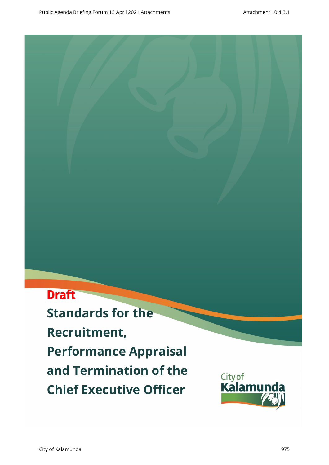# **Draft**

**Standards for the Recruitment, Performance Appraisal and Termination of the Chief Executive Officer**

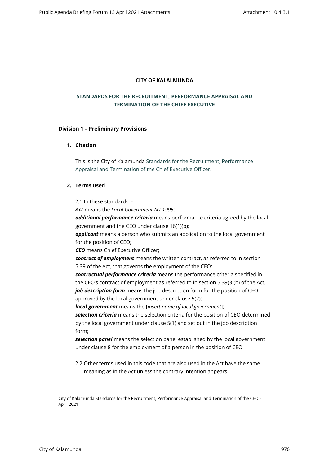## **CITY OF KALALMUNDA**

# **STANDARDS FOR THE RECRUITMENT, PERFORMANCE APPRAISAL AND TERMINATION OF THE CHIEF EXECUTIVE**

#### **Division 1 – Preliminary Provisions**

# **1. Citation**

This is the City of Kalamunda Standards for the Recruitment, Performance Appraisal and Termination of the Chief Executive Officer.

# **2. Terms used**

2.1 In these standards: -

*Act* means the *Local Government Act 1995*;

*additional performance criteria* means performance criteria agreed by the local government and the CEO under clause 16(1)(b);

*applicant* means a person who submits an application to the local government for the position of CEO;

*CEO* means Chief Executive Officer;

*contract of employment* means the written contract, as referred to in section 5.39 of the Act, that governs the employment of the CEO;

*contractual performance criteria* means the performance criteria specified in the CEO's contract of employment as referred to in section 5.39(3)(b) of the Act; *job description form* means the job description form for the position of CEO approved by the local government under clause 5(2);

*local government* means the [*insert name of local government*];

*selection criteria* means the selection criteria for the position of CEO determined by the local government under clause 5(1) and set out in the job description form;

*selection panel* means the selection panel established by the local government under clause 8 for the employment of a person in the position of CEO.

2.2 Other terms used in this code that are also used in the Act have the same meaning as in the Act unless the contrary intention appears.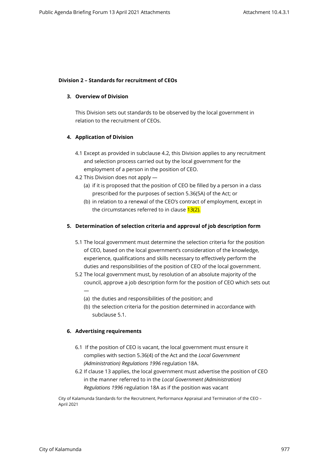## **Division 2 – Standards for recruitment of CEOs**

## **3. Overview of Division**

This Division sets out standards to be observed by the local government in relation to the recruitment of CEOs.

## **4. Application of Division**

- 4.1 Except as provided in subclause 4.2, this Division applies to any recruitment and selection process carried out by the local government for the employment of a person in the position of CEO.
- 4.2 This Division does not apply
	- (a) if it is proposed that the position of CEO be filled by a person in a class prescribed for the purposes of section 5.36(5A) of the Act; or
	- (b) in relation to a renewal of the CEO's contract of employment, except in the circumstances referred to in clause 13(2).

# **5. Determination of selection criteria and approval of job description form**

- 5.1 The local government must determine the selection criteria for the position of CEO, based on the local government's consideration of the knowledge, experience, qualifications and skills necessary to effectively perform the duties and responsibilities of the position of CEO of the local government.
- 5.2 The local government must, by resolution of an absolute majority of the council, approve a job description form for the position of CEO which sets out —
	- (a) the duties and responsibilities of the position; and
	- (b) the selection criteria for the position determined in accordance with subclause 5.1.

# **6. Advertising requirements**

- 6.1 If the position of CEO is vacant, the local government must ensure it complies with section 5.36(4) of the Act and the *Local Government (Administration) Regulations 1996* regulation 18A.
- 6.2 If clause 13 applies, the local government must advertise the position of CEO in the manner referred to in the *Local Government (Administration) Regulations 1996* regulation 18A as if the position was vacant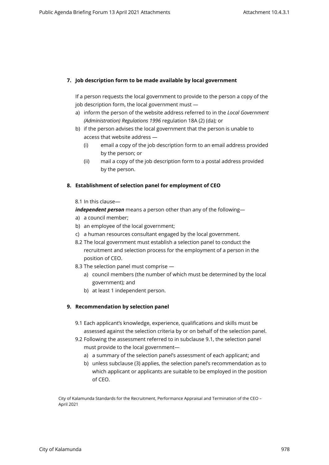# **7. Job description form to be made available by local government**

If a person requests the local government to provide to the person a copy of the job description form, the local government must —

- a) inform the person of the website address referred to in the *Local Government (Administration) Regulations 1996* regulation 18A (2) (da); or
- b) if the person advises the local government that the person is unable to access that website address —
	- (i) email a copy of the job description form to an email address provided by the person; or
	- (ii) mail a copy of the job description form to a postal address provided by the person.

# **8. Establishment of selection panel for employment of CEO**

## 8.1 In this clause—

*independent person* means a person other than any of the following—

- a) a council member;
- b) an employee of the local government;
- c) a human resources consultant engaged by the local government.
- 8.2 The local government must establish a selection panel to conduct the recruitment and selection process for the employment of a person in the position of CEO.
- 8.3 The selection panel must comprise
	- a) council members (the number of which must be determined by the local government); and
	- b) at least 1 independent person.

# **9. Recommendation by selection panel**

- 9.1 Each applicant's knowledge, experience, qualifications and skills must be assessed against the selection criteria by or on behalf of the selection panel.
- 9.2 Following the assessment referred to in subclause 9.1, the selection panel must provide to the local government
	- a) a summary of the selection panel's assessment of each applicant; and
	- b) unless subclause (3) applies, the selection panel's recommendation as to which applicant or applicants are suitable to be employed in the position of CEO.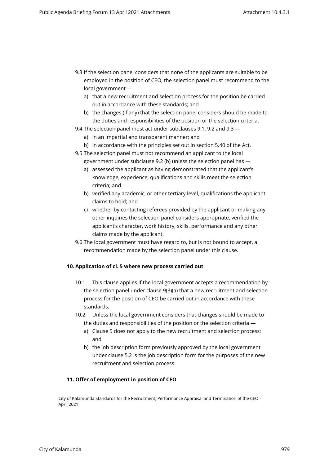- 9.3 If the selection panel considers that none of the applicants are suitable to be employed in the position of CEO, the selection panel must recommend to the local government
	- a) that a new recruitment and selection process for the position be carried out in accordance with these standards; and
	- b) the changes (if any) that the selection panel considers should be made to the duties and responsibilities of the position or the selection criteria.
- 9.4 The selection panel must act under subclauses 9.1, 9.2 and 9.3
	- a) in an impartial and transparent manner; and
	- b) in accordance with the principles set out in section 5.40 of the Act.
- 9.5 The selection panel must not recommend an applicant to the local government under subclause 9.2 (b) unless the selection panel has
	- a) assessed the applicant as having demonstrated that the applicant's knowledge, experience, qualifications and skills meet the selection criteria; and
	- b) verified any academic, or other tertiary level, qualifications the applicant claims to hold; and
	- c) whether by contacting referees provided by the applicant or making any other inquiries the selection panel considers appropriate, verified the applicant's character, work history, skills, performance and any other claims made by the applicant.
- 9.6 The local government must have regard to, but is not bound to accept, a recommendation made by the selection panel under this clause.

# **10. Application of cl. 5 where new process carried out**

- 10.1 This clause applies if the local government accepts a recommendation by the selection panel under clause 9(3)(a) that a new recruitment and selection process for the position of CEO be carried out in accordance with these standards.
- 10.2 Unless the local government considers that changes should be made to the duties and responsibilities of the position or the selection criteria
	- a) Clause 5 does not apply to the new recruitment and selection process; and
	- b) the job description form previously approved by the local government under clause 5.2 is the job description form for the purposes of the new recruitment and selection process.

#### **11. Offer of employment in position of CEO**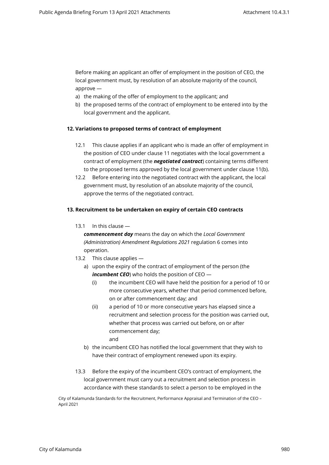Before making an applicant an offer of employment in the position of CEO, the local government must, by resolution of an absolute majority of the council, approve —

- a) the making of the offer of employment to the applicant; and
- b) the proposed terms of the contract of employment to be entered into by the local government and the applicant.

# **12. Variations to proposed terms of contract of employment**

- 12.1 This clause applies if an applicant who is made an offer of employment in the position of CEO under clause 11 negotiates with the local government a contract of employment (the *negotiated contract*) containing terms different to the proposed terms approved by the local government under clause 11(b).
- 12.2 Before entering into the negotiated contract with the applicant, the local government must, by resolution of an absolute majority of the council, approve the terms of the negotiated contract.

# **13. Recruitment to be undertaken on expiry of certain CEO contracts**

13.1 In this clause —

*commencement day* means the day on which the *Local Government (Administration) Amendment Regulations 2021* regulation 6 comes into operation.

- 13.2 This clause applies
	- a) upon the expiry of the contract of employment of the person (the *incumbent CEO*) who holds the position of CEO -
		- (i) the incumbent CEO will have held the position for a period of 10 or more consecutive years, whether that period commenced before, on or after commencement day; and
		- (ii) a period of 10 or more consecutive years has elapsed since a recruitment and selection process for the position was carried out, whether that process was carried out before, on or after commencement day; and
	- b) the incumbent CEO has notified the local government that they wish to have their contract of employment renewed upon its expiry.
- 13.3 Before the expiry of the incumbent CEO's contract of employment, the local government must carry out a recruitment and selection process in accordance with these standards to select a person to be employed in the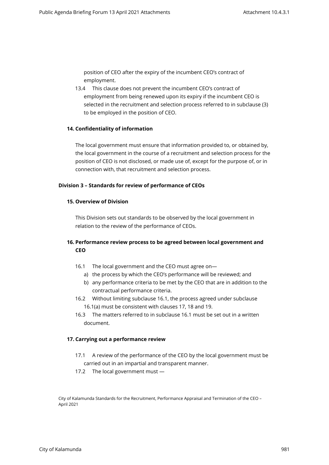position of CEO after the expiry of the incumbent CEO's contract of employment.

13.4 This clause does not prevent the incumbent CEO's contract of employment from being renewed upon its expiry if the incumbent CEO is selected in the recruitment and selection process referred to in subclause (3) to be employed in the position of CEO.

# **14. Confidentiality of information**

The local government must ensure that information provided to, or obtained by, the local government in the course of a recruitment and selection process for the position of CEO is not disclosed, or made use of, except for the purpose of, or in connection with, that recruitment and selection process.

# **Division 3 – Standards for review of performance of CEOs**

## **15. Overview of Division**

This Division sets out standards to be observed by the local government in relation to the review of the performance of CEOs.

# **16. Performance review process to be agreed between local government and CEO**

- 16.1 The local government and the CEO must agree on
	- a) the process by which the CEO's performance will be reviewed; and
	- b) any performance criteria to be met by the CEO that are in addition to the contractual performance criteria.
- 16.2 Without limiting subclause 16.1, the process agreed under subclause 16.1(a) must be consistent with clauses 17, 18 and 19.
- 16.3 The matters referred to in subclause 16.1 must be set out in a written document.

# **17. Carrying out a performance review**

- 17.1 A review of the performance of the CEO by the local government must be carried out in an impartial and transparent manner.
- 17.2 The local government must —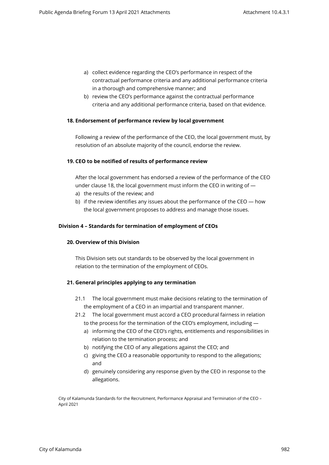- a) collect evidence regarding the CEO's performance in respect of the contractual performance criteria and any additional performance criteria in a thorough and comprehensive manner; and
- b) review the CEO's performance against the contractual performance criteria and any additional performance criteria, based on that evidence.

## **18. Endorsement of performance review by local government**

Following a review of the performance of the CEO, the local government must, by resolution of an absolute majority of the council, endorse the review.

#### **19. CEO to be notified of results of performance review**

After the local government has endorsed a review of the performance of the CEO under clause 18, the local government must inform the CEO in writing of —

- a) the results of the review; and
- b) if the review identifies any issues about the performance of the CEO how the local government proposes to address and manage those issues.

#### **Division 4 – Standards for termination of employment of CEOs**

#### **20. Overview of this Division**

This Division sets out standards to be observed by the local government in relation to the termination of the employment of CEOs.

# **21. General principles applying to any termination**

- 21.1 The local government must make decisions relating to the termination of the employment of a CEO in an impartial and transparent manner.
- 21.2 The local government must accord a CEO procedural fairness in relation to the process for the termination of the CEO's employment, including
	- a) informing the CEO of the CEO's rights, entitlements and responsibilities in relation to the termination process; and
	- b) notifying the CEO of any allegations against the CEO; and
	- c) giving the CEO a reasonable opportunity to respond to the allegations; and
	- d) genuinely considering any response given by the CEO in response to the allegations.